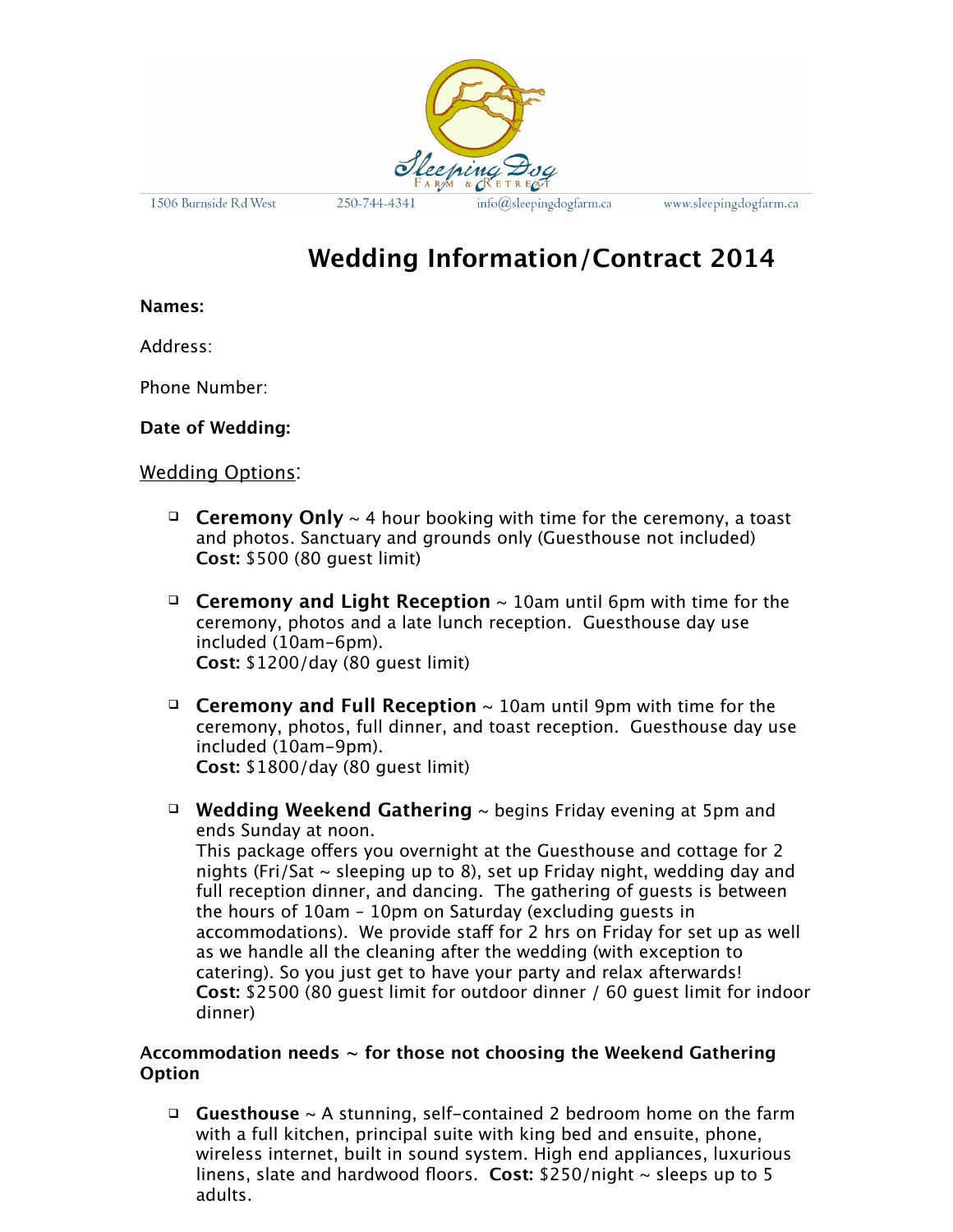

1506 Burnside Rd West

250-744-4341

info@sleepingdogfarm.ca

www.sleepingdogfarm.ca

# **Wedding Information/Contract 2014**

#### **Names:**

Address:

Phone Number:

**Date of Wedding:** 

### Wedding Options:

- **Ceremony Only** ~ 4 hour booking with time for the ceremony, a toast and photos. Sanctuary and grounds only (Guesthouse not included) **Cost:** \$500 (80 guest limit)
- **Ceremony and Light Reception** ~ 10am until 6pm with time for the ceremony, photos and a late lunch reception. Guesthouse day use included (10am-6pm). **Cost:** \$1200/day (80 guest limit)
- **Ceremony and Full Reception** ~ 10am until 9pm with time for the ceremony, photos, full dinner, and toast reception. Guesthouse day use included (10am-9pm). **Cost:** \$1800/day (80 guest limit)
- **Wedding Weekend Gathering** ~ begins Friday evening at 5pm and ends Sunday at noon.

This package offers you overnight at the Guesthouse and cottage for 2 nights (Fri/Sat  $\sim$  sleeping up to 8), set up Friday night, wedding day and full reception dinner, and dancing. The gathering of guests is between the hours of 10am – 10pm on Saturday (excluding guests in accommodations). We provide staff for 2 hrs on Friday for set up as well as we handle all the cleaning after the wedding (with exception to catering). So you just get to have your party and relax afterwards! **Cost:** \$2500 (80 guest limit for outdoor dinner / 60 guest limit for indoor dinner)

### **Accommodation needs ~ for those not choosing the Weekend Gathering Option**

 **Guesthouse** ~ A stunning, self-contained 2 bedroom home on the farm with a full kitchen, principal suite with king bed and ensuite, phone, wireless internet, built in sound system. High end appliances, luxurious linens, slate and hardwood floors. **Cost:** \$250/night ~ sleeps up to 5 adults.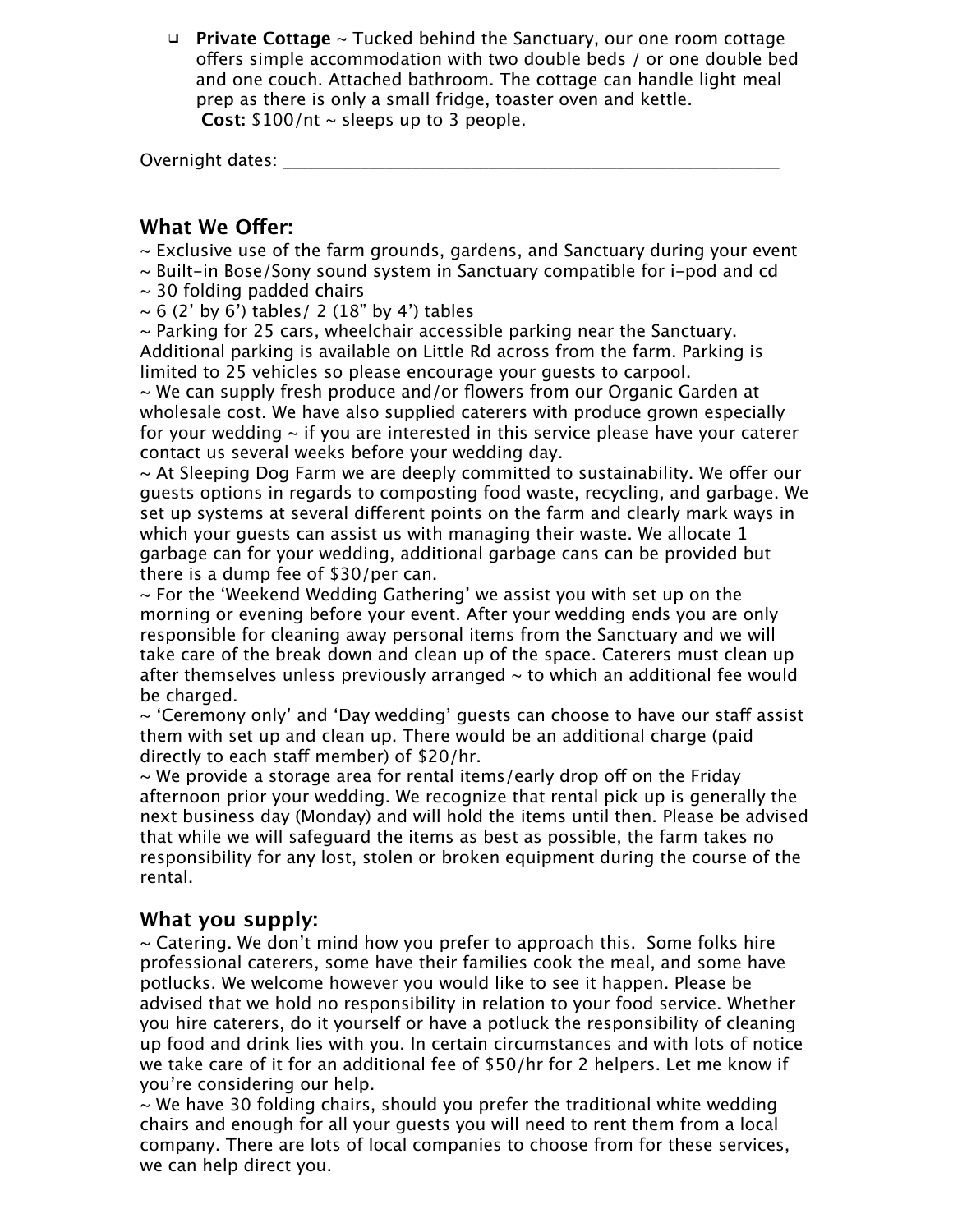**Private Cottage** ~ Tucked behind the Sanctuary, our one room cottage offers simple accommodation with two double beds / or one double bed and one couch. Attached bathroom. The cottage can handle light meal prep as there is only a small fridge, toaster oven and kettle. **Cost:** \$100/nt ~ sleeps up to 3 people.

Overnight dates: \_\_\_\_\_\_

### **What We Offer:**

- $\sim$  Exclusive use of the farm grounds, gardens, and Sanctuary during your event
- $\sim$  Built-in Bose/Sony sound system in Sanctuary compatible for i-pod and cd
- $\sim$  30 folding padded chairs
- $\sim$  6 (2' by 6') tables/ 2 (18" by 4') tables

 $\sim$  Parking for 25 cars, wheelchair accessible parking near the Sanctuary. Additional parking is available on Little Rd across from the farm. Parking is limited to 25 vehicles so please encourage your guests to carpool.

~ We can supply fresh produce and/or flowers from our Organic Garden at wholesale cost. We have also supplied caterers with produce grown especially for your wedding  $\sim$  if you are interested in this service please have your caterer contact us several weeks before your wedding day.

 $\sim$  At Sleeping Dog Farm we are deeply committed to sustainability. We offer our guests options in regards to composting food waste, recycling, and garbage. We set up systems at several different points on the farm and clearly mark ways in which your guests can assist us with managing their waste. We allocate 1 garbage can for your wedding, additional garbage cans can be provided but there is a dump fee of \$30/per can.

 $\sim$  For the 'Weekend Wedding Gathering' we assist you with set up on the morning or evening before your event. After your wedding ends you are only responsible for cleaning away personal items from the Sanctuary and we will take care of the break down and clean up of the space. Caterers must clean up after themselves unless previously arranged  $\sim$  to which an additional fee would be charged.

 $\sim$  'Ceremony only' and 'Day wedding' guests can choose to have our staff assist them with set up and clean up. There would be an additional charge (paid directly to each staff member) of \$20/hr.

 $\sim$  We provide a storage area for rental items/early drop off on the Friday afternoon prior your wedding. We recognize that rental pick up is generally the next business day (Monday) and will hold the items until then. Please be advised that while we will safeguard the items as best as possible, the farm takes no responsibility for any lost, stolen or broken equipment during the course of the rental.

### **What you supply:**

 $\sim$  Catering. We don't mind how you prefer to approach this. Some folks hire professional caterers, some have their families cook the meal, and some have potlucks. We welcome however you would like to see it happen. Please be advised that we hold no responsibility in relation to your food service. Whether you hire caterers, do it yourself or have a potluck the responsibility of cleaning up food and drink lies with you. In certain circumstances and with lots of notice we take care of it for an additional fee of \$50/hr for 2 helpers. Let me know if you're considering our help.

 $\sim$  We have 30 folding chairs, should you prefer the traditional white wedding chairs and enough for all your guests you will need to rent them from a local company. There are lots of local companies to choose from for these services, we can help direct you.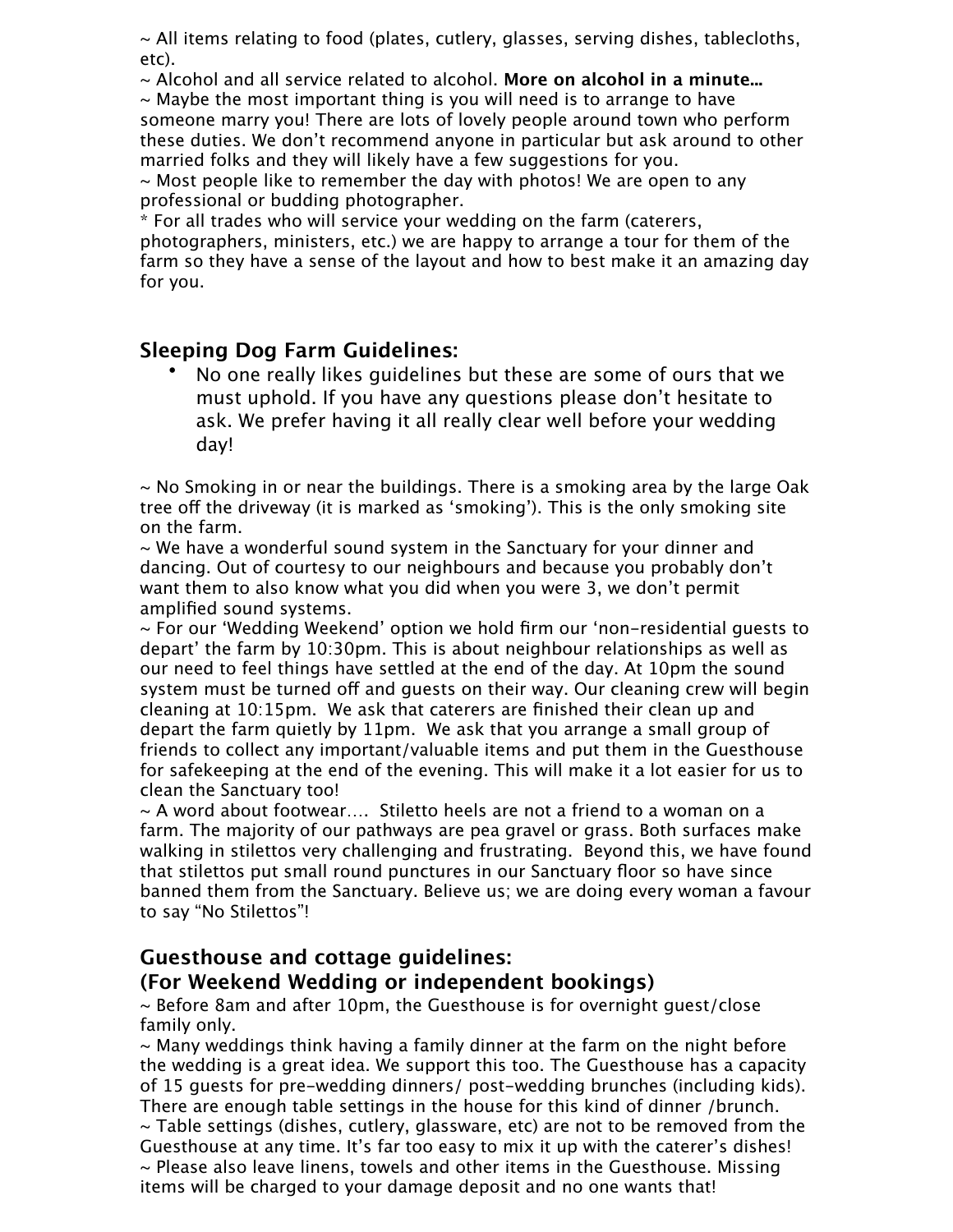$\sim$  All items relating to food (plates, cutlery, glasses, serving dishes, tablecloths, etc).

~ Alcohol and all service related to alcohol. **More on alcohol in a minute...**

 $\sim$  Maybe the most important thing is you will need is to arrange to have someone marry you! There are lots of lovely people around town who perform these duties. We don't recommend anyone in particular but ask around to other married folks and they will likely have a few suggestions for you.

 $\sim$  Most people like to remember the day with photos! We are open to any professional or budding photographer.

\* For all trades who will service your wedding on the farm (caterers, photographers, ministers, etc.) we are happy to arrange a tour for them of the

farm so they have a sense of the layout and how to best make it an amazing day for you.

# **Sleeping Dog Farm Guidelines:**

• No one really likes guidelines but these are some of ours that we must uphold. If you have any questions please don't hesitate to ask. We prefer having it all really clear well before your wedding day!

 $\sim$  No Smoking in or near the buildings. There is a smoking area by the large Oak tree off the driveway (it is marked as 'smoking'). This is the only smoking site on the farm.

~ We have a wonderful sound system in the Sanctuary for your dinner and dancing. Out of courtesy to our neighbours and because you probably don't want them to also know what you did when you were 3, we don't permit amplified sound systems.

~ For our 'Wedding Weekend' option we hold firm our 'non-residential guests to depart' the farm by 10:30pm. This is about neighbour relationships as well as our need to feel things have settled at the end of the day. At 10pm the sound system must be turned off and guests on their way. Our cleaning crew will begin cleaning at 10:15pm. We ask that caterers are finished their clean up and depart the farm quietly by 11pm. We ask that you arrange a small group of friends to collect any important/valuable items and put them in the Guesthouse for safekeeping at the end of the evening. This will make it a lot easier for us to clean the Sanctuary too!

 $\sim$  A word about footwear.... Stiletto heels are not a friend to a woman on a farm. The majority of our pathways are pea gravel or grass. Both surfaces make walking in stilettos very challenging and frustrating. Beyond this, we have found that stilettos put small round punctures in our Sanctuary floor so have since banned them from the Sanctuary. Believe us; we are doing every woman a favour to say "No Stilettos"!

# **Guesthouse and cottage guidelines:**

# **(For Weekend Wedding or independent bookings)**

~ Before 8am and after 10pm, the Guesthouse is for overnight guest/close family only.

 $\sim$  Many weddings think having a family dinner at the farm on the night before the wedding is a great idea. We support this too. The Guesthouse has a capacity of 15 guests for pre-wedding dinners/ post-wedding brunches (including kids). There are enough table settings in the house for this kind of dinner /brunch.  $\sim$  Table settings (dishes, cutlery, glassware, etc) are not to be removed from the Guesthouse at any time. It's far too easy to mix it up with the caterer's dishes!  $\sim$  Please also leave linens, towels and other items in the Guesthouse. Missing items will be charged to your damage deposit and no one wants that!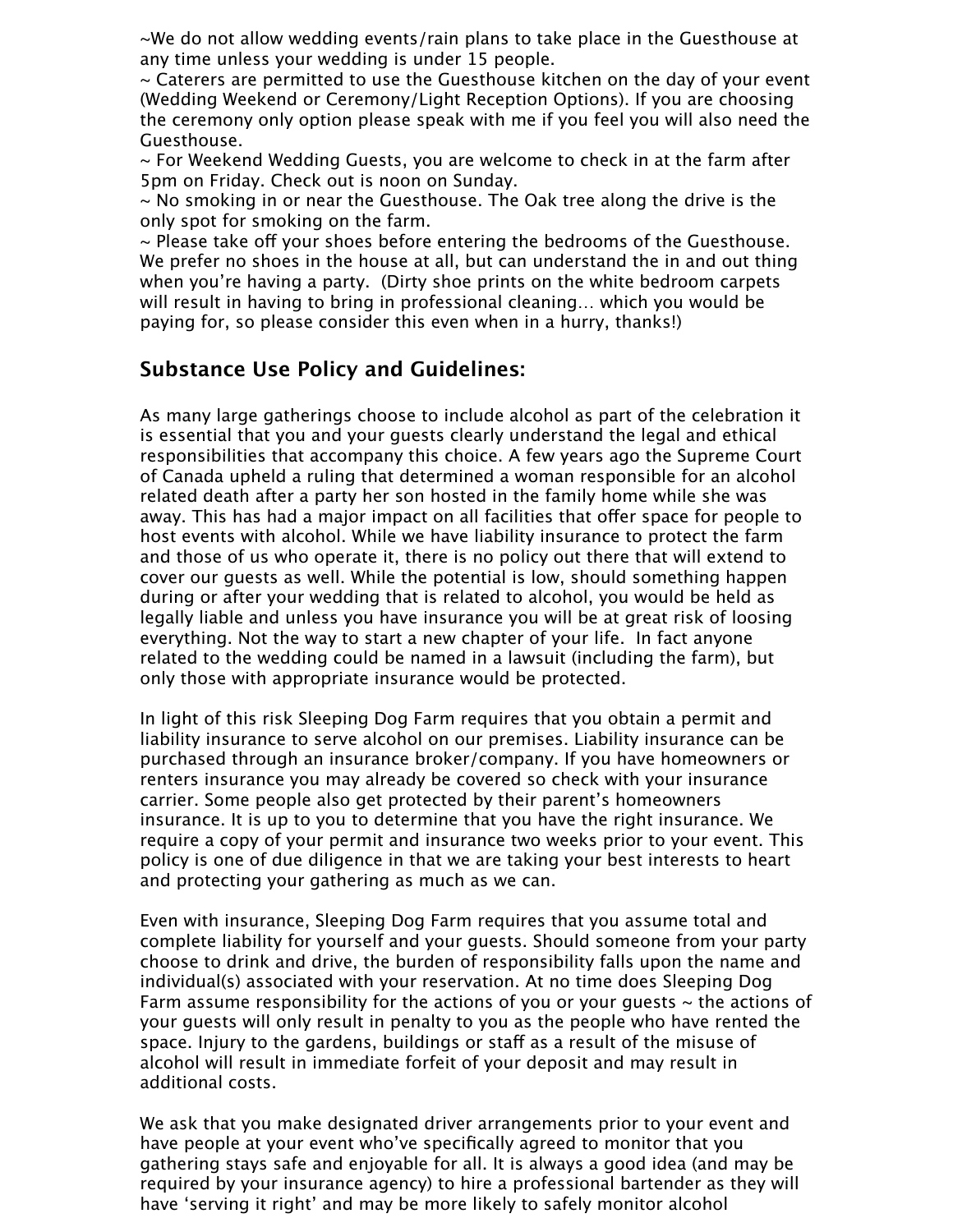~We do not allow wedding events/rain plans to take place in the Guesthouse at any time unless your wedding is under 15 people.

 $\sim$  Caterers are permitted to use the Guesthouse kitchen on the day of your event (Wedding Weekend or Ceremony/Light Reception Options). If you are choosing the ceremony only option please speak with me if you feel you will also need the Guesthouse.

 $\sim$  For Weekend Wedding Guests, you are welcome to check in at the farm after 5pm on Friday. Check out is noon on Sunday.

 $\sim$  No smoking in or near the Guesthouse. The Oak tree along the drive is the only spot for smoking on the farm.

 $\sim$  Please take off vour shoes before entering the bedrooms of the Guesthouse. We prefer no shoes in the house at all, but can understand the in and out thing when you're having a party. (Dirty shoe prints on the white bedroom carpets will result in having to bring in professional cleaning… which you would be paying for, so please consider this even when in a hurry, thanks!)

## **Substance Use Policy and Guidelines:**

As many large gatherings choose to include alcohol as part of the celebration it is essential that you and your guests clearly understand the legal and ethical responsibilities that accompany this choice. A few years ago the Supreme Court of Canada upheld a ruling that determined a woman responsible for an alcohol related death after a party her son hosted in the family home while she was away. This has had a major impact on all facilities that offer space for people to host events with alcohol. While we have liability insurance to protect the farm and those of us who operate it, there is no policy out there that will extend to cover our guests as well. While the potential is low, should something happen during or after your wedding that is related to alcohol, you would be held as legally liable and unless you have insurance you will be at great risk of loosing everything. Not the way to start a new chapter of your life. In fact anyone related to the wedding could be named in a lawsuit (including the farm), but only those with appropriate insurance would be protected.

In light of this risk Sleeping Dog Farm requires that you obtain a permit and liability insurance to serve alcohol on our premises. Liability insurance can be purchased through an insurance broker/company. If you have homeowners or renters insurance you may already be covered so check with your insurance carrier. Some people also get protected by their parent's homeowners insurance. It is up to you to determine that you have the right insurance. We require a copy of your permit and insurance two weeks prior to your event. This policy is one of due diligence in that we are taking your best interests to heart and protecting your gathering as much as we can.

Even with insurance, Sleeping Dog Farm requires that you assume total and complete liability for yourself and your guests. Should someone from your party choose to drink and drive, the burden of responsibility falls upon the name and individual(s) associated with your reservation. At no time does Sleeping Dog Farm assume responsibility for the actions of you or your quests  $\sim$  the actions of your guests will only result in penalty to you as the people who have rented the space. Injury to the gardens, buildings or staff as a result of the misuse of alcohol will result in immediate forfeit of your deposit and may result in additional costs.

We ask that you make designated driver arrangements prior to your event and have people at your event who've specifically agreed to monitor that you gathering stays safe and enjoyable for all. It is always a good idea (and may be required by your insurance agency) to hire a professional bartender as they will have 'serving it right' and may be more likely to safely monitor alcohol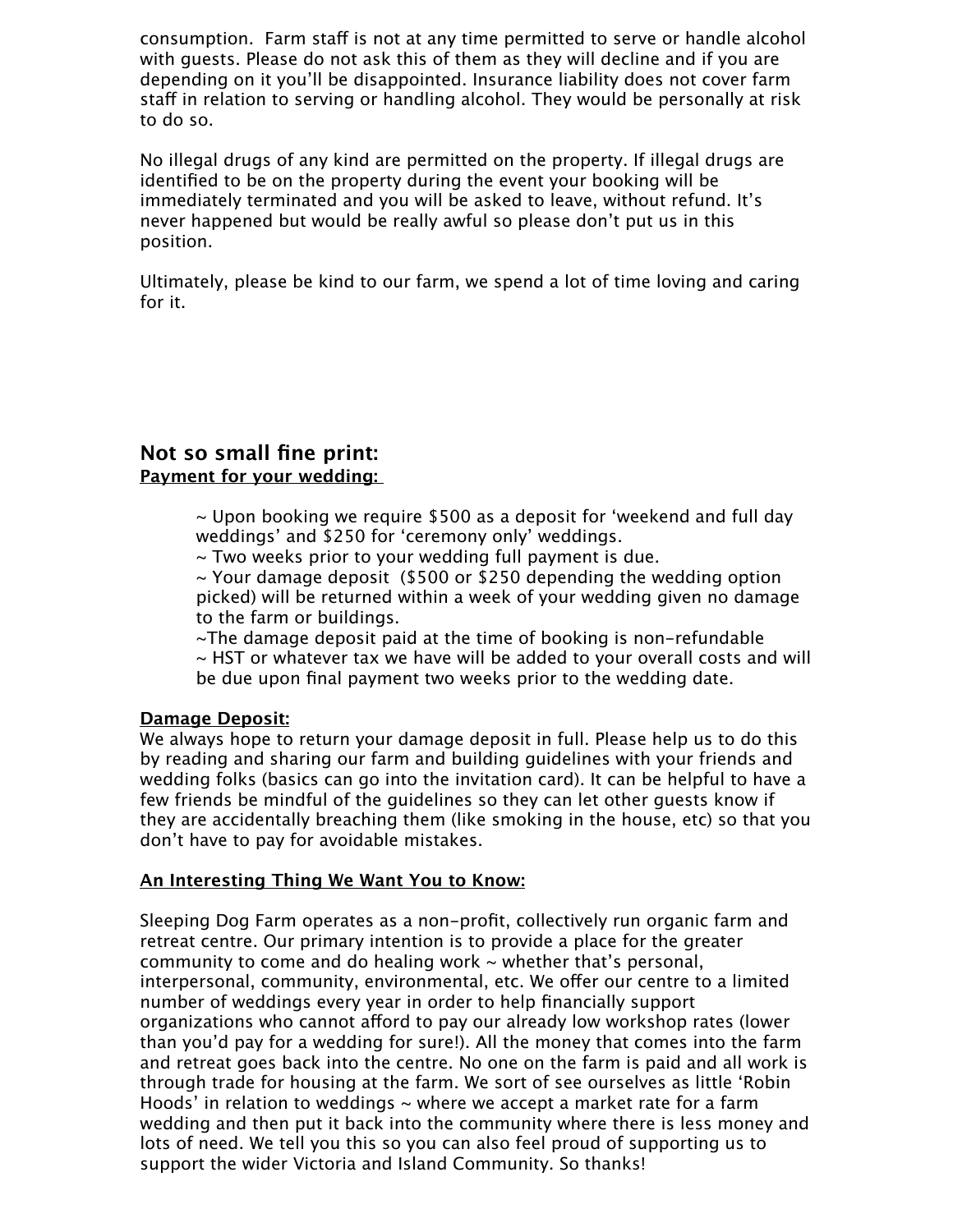consumption. Farm staff is not at any time permitted to serve or handle alcohol with guests. Please do not ask this of them as they will decline and if you are depending on it you'll be disappointed. Insurance liability does not cover farm staff in relation to serving or handling alcohol. They would be personally at risk to do so.

No illegal drugs of any kind are permitted on the property. If illegal drugs are identified to be on the property during the event your booking will be immediately terminated and you will be asked to leave, without refund. It's never happened but would be really awful so please don't put us in this position.

Ultimately, please be kind to our farm, we spend a lot of time loving and caring for it.

### **Not so small fine print: Payment for your wedding:**

 $\sim$  Upon booking we require \$500 as a deposit for 'weekend and full day weddings' and \$250 for 'ceremony only' weddings.

~ Two weeks prior to your wedding full payment is due.

~ Your damage deposit (\$500 or \$250 depending the wedding option picked) will be returned within a week of your wedding given no damage to the farm or buildings.

~The damage deposit paid at the time of booking is non-refundable ~ HST or whatever tax we have will be added to your overall costs and will be due upon final payment two weeks prior to the wedding date.

### **Damage Deposit:**

We always hope to return your damage deposit in full. Please help us to do this by reading and sharing our farm and building guidelines with your friends and wedding folks (basics can go into the invitation card). It can be helpful to have a few friends be mindful of the guidelines so they can let other guests know if they are accidentally breaching them (like smoking in the house, etc) so that you don't have to pay for avoidable mistakes.

#### **An Interesting Thing We Want You to Know:**

Sleeping Dog Farm operates as a non-profit, collectively run organic farm and retreat centre. Our primary intention is to provide a place for the greater community to come and do healing work  $\sim$  whether that's personal, interpersonal, community, environmental, etc. We offer our centre to a limited number of weddings every year in order to help financially support organizations who cannot afford to pay our already low workshop rates (lower than you'd pay for a wedding for sure!). All the money that comes into the farm and retreat goes back into the centre. No one on the farm is paid and all work is through trade for housing at the farm. We sort of see ourselves as little 'Robin Hoods' in relation to weddings  $\sim$  where we accept a market rate for a farm wedding and then put it back into the community where there is less money and lots of need. We tell you this so you can also feel proud of supporting us to support the wider Victoria and Island Community. So thanks!